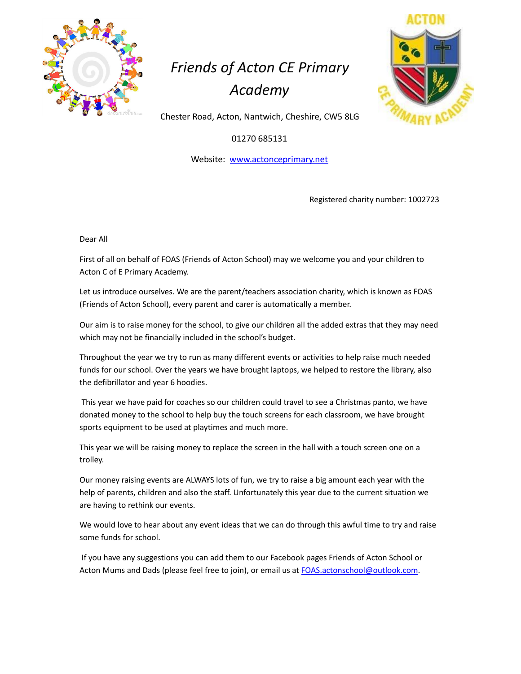

## *Friends of Acton CE Primary Academy*



Chester Road, Acton, Nantwich, Cheshire, CW5 8LG

01270 685131

Website: www.actonceprimary.net

Registered charity number: 1002723

Dear All

First of all on behalf of FOAS (Friends of Acton School) may we welcome you and your children to Acton C of E Primary Academy.

Let us introduce ourselves. We are the parent/teachers association charity, which is known as FOAS (Friends of Acton School), every parent and carer is automatically a member.

Our aim is to raise money for the school, to give our children all the added extras that they may need which may not be financially included in the school's budget.

Throughout the year we try to run as many different events or activities to help raise much needed funds for our school. Over the years we have brought laptops, we helped to restore the library, also the defibrillator and year 6 hoodies.

This year we have paid for coaches so our children could travel to see a Christmas panto, we have donated money to the school to help buy the touch screens for each classroom, we have brought sports equipment to be used at playtimes and much more.

This year we will be raising money to replace the screen in the hall with a touch screen one on a trolley.

Our money raising events are ALWAYS lots of fun, we try to raise a big amount each year with the help of parents, children and also the staff. Unfortunately this year due to the current situation we are having to rethink our events.

We would love to hear about any event ideas that we can do through this awful time to try and raise some funds for school.

If you have any suggestions you can add them to our Facebook pages Friends of Acton School or Acton Mums and Dads (please feel free to join), or email us at [FOAS.actonschool@outlook.com](mailto:FOAS.actonschool@outlook.com).